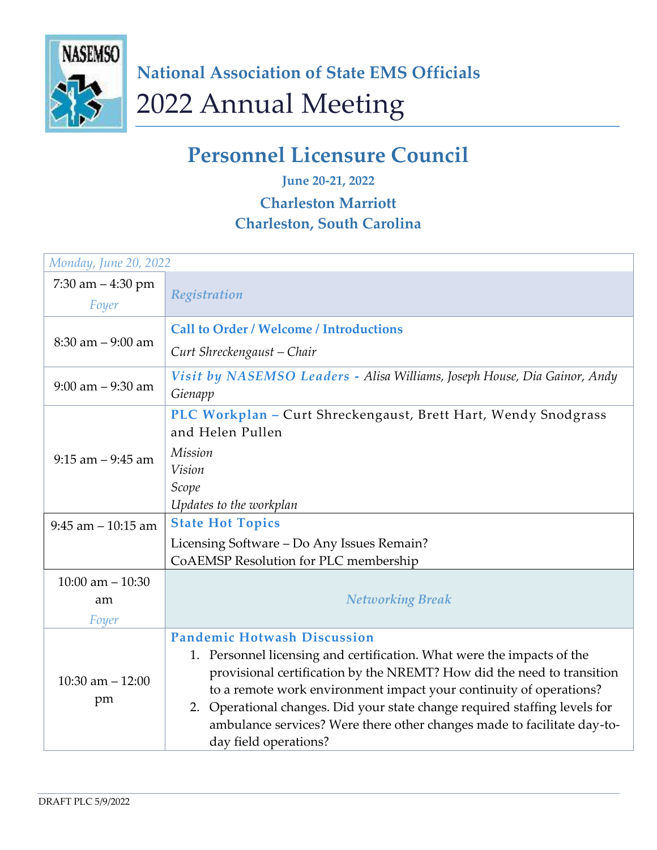

## **Personnel Licensure Council**

**June 20-21, 2022 Charleston Marriott Charleston, South Carolina**

| Monday, June 20, 2022             |                                                                                                                                                                                                                                                                                                                                                                                                                                                |  |
|-----------------------------------|------------------------------------------------------------------------------------------------------------------------------------------------------------------------------------------------------------------------------------------------------------------------------------------------------------------------------------------------------------------------------------------------------------------------------------------------|--|
| 7:30 am $-4:30$ pm<br>Foyer       | Registration                                                                                                                                                                                                                                                                                                                                                                                                                                   |  |
| $8:30$ am $-9:00$ am              | <b>Call to Order / Welcome / Introductions</b><br>Curt Shreckengaust – Chair                                                                                                                                                                                                                                                                                                                                                                   |  |
| $9:00$ am $-9:30$ am              | Visit by NASEMSO Leaders - Alisa Williams, Joseph House, Dia Gainor, Andy<br>Gienapp                                                                                                                                                                                                                                                                                                                                                           |  |
| $9:15$ am $-9:45$ am              | PLC Workplan - Curt Shreckengaust, Brett Hart, Wendy Snodgrass<br>and Helen Pullen<br>Mission<br>Vision<br>Scope<br>Updates to the workplan                                                                                                                                                                                                                                                                                                    |  |
| $9:45$ am $-10:15$ am             | <b>State Hot Topics</b><br>Licensing Software – Do Any Issues Remain?<br>CoAEMSP Resolution for PLC membership                                                                                                                                                                                                                                                                                                                                 |  |
| 10:00 am $- 10:30$<br>am<br>Foyer | <b>Networking Break</b>                                                                                                                                                                                                                                                                                                                                                                                                                        |  |
| 10:30 am $- 12:00$<br>pm          | <b>Pandemic Hotwash Discussion</b><br>1. Personnel licensing and certification. What were the impacts of the<br>provisional certification by the NREMT? How did the need to transition<br>to a remote work environment impact your continuity of operations?<br>2. Operational changes. Did your state change required staffing levels for<br>ambulance services? Were there other changes made to facilitate day-to-<br>day field operations? |  |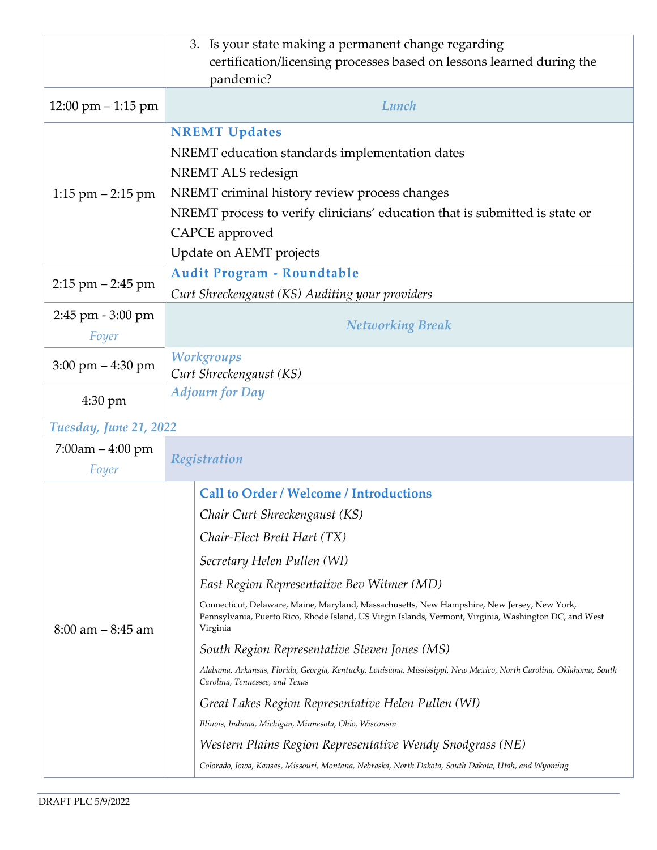|                                      | 3. Is your state making a permanent change regarding<br>certification/licensing processes based on lessons learned during the<br>pandemic?                                                                                                                                                                                                                                                                                                                                                                                                                                                                                                                                                                                                                                                                                                                                                                     |
|--------------------------------------|----------------------------------------------------------------------------------------------------------------------------------------------------------------------------------------------------------------------------------------------------------------------------------------------------------------------------------------------------------------------------------------------------------------------------------------------------------------------------------------------------------------------------------------------------------------------------------------------------------------------------------------------------------------------------------------------------------------------------------------------------------------------------------------------------------------------------------------------------------------------------------------------------------------|
| $12:00 \text{ pm} - 1:15 \text{ pm}$ | Lunch                                                                                                                                                                                                                                                                                                                                                                                                                                                                                                                                                                                                                                                                                                                                                                                                                                                                                                          |
| $1:15$ pm $-2:15$ pm                 | <b>NREMT Updates</b><br>NREMT education standards implementation dates<br>NREMT ALS redesign<br>NREMT criminal history review process changes<br>NREMT process to verify clinicians' education that is submitted is state or<br>CAPCE approved<br>Update on AEMT projects                                                                                                                                                                                                                                                                                                                                                                                                                                                                                                                                                                                                                                      |
| $2:15$ pm $-2:45$ pm                 | Audit Program - Roundtable<br>Curt Shreckengaust (KS) Auditing your providers                                                                                                                                                                                                                                                                                                                                                                                                                                                                                                                                                                                                                                                                                                                                                                                                                                  |
| 2:45 pm - 3:00 pm<br>Foyer           | <b>Networking Break</b>                                                                                                                                                                                                                                                                                                                                                                                                                                                                                                                                                                                                                                                                                                                                                                                                                                                                                        |
| $3:00 \text{ pm} - 4:30 \text{ pm}$  | <b>Workgroups</b><br>Curt Shreckengaust (KS)                                                                                                                                                                                                                                                                                                                                                                                                                                                                                                                                                                                                                                                                                                                                                                                                                                                                   |
| 4:30 pm                              | <b>Adjourn for Day</b>                                                                                                                                                                                                                                                                                                                                                                                                                                                                                                                                                                                                                                                                                                                                                                                                                                                                                         |
| <b>Tuesday, June 21, 2022</b>        |                                                                                                                                                                                                                                                                                                                                                                                                                                                                                                                                                                                                                                                                                                                                                                                                                                                                                                                |
| $7:00am - 4:00 pm$<br>Foyer          | Registration                                                                                                                                                                                                                                                                                                                                                                                                                                                                                                                                                                                                                                                                                                                                                                                                                                                                                                   |
| $8:00$ am $-8:45$ am                 | <b>Call to Order / Welcome / Introductions</b><br>Chair Curt Shreckengaust (KS)<br>Chair-Elect Brett Hart (TX)<br>Secretary Helen Pullen (WI)<br>East Region Representative Bev Witmer (MD)<br>Connecticut, Delaware, Maine, Maryland, Massachusetts, New Hampshire, New Jersey, New York,<br>Pennsylvania, Puerto Rico, Rhode Island, US Virgin Islands, Vermont, Virginia, Washington DC, and West<br>Virginia<br>South Region Representative Steven Jones (MS)<br>Alabama, Arkansas, Florida, Georgia, Kentucky, Louisiana, Mississippi, New Mexico, North Carolina, Oklahoma, South<br>Carolina, Tennessee, and Texas<br>Great Lakes Region Representative Helen Pullen (WI)<br>Illinois, Indiana, Michigan, Minnesota, Ohio, Wisconsin<br>Western Plains Region Representative Wendy Snodgrass (NE)<br>Colorado, Iowa, Kansas, Missouri, Montana, Nebraska, North Dakota, South Dakota, Utah, and Wyoming |